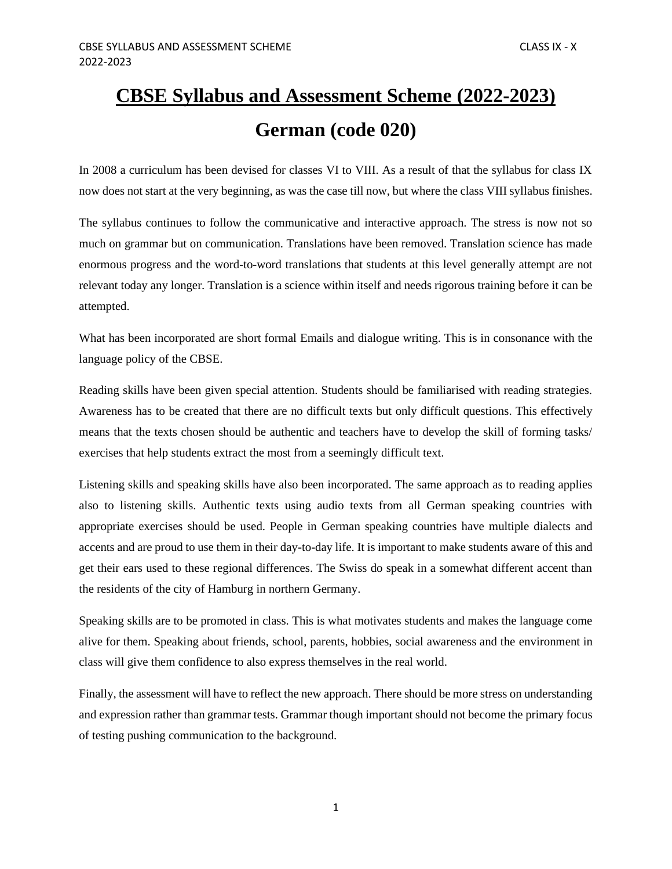# **CBSE Syllabus and Assessment Scheme (2022-2023) German (code 020)**

In 2008 a curriculum has been devised for classes VI to VIII. As a result of that the syllabus for class IX now does not start at the very beginning, as was the case till now, but where the class VIII syllabus finishes.

The syllabus continues to follow the communicative and interactive approach. The stress is now not so much on grammar but on communication. Translations have been removed. Translation science has made enormous progress and the word-to-word translations that students at this level generally attempt are not relevant today any longer. Translation is a science within itself and needs rigorous training before it can be attempted.

What has been incorporated are short formal Emails and dialogue writing. This is in consonance with the language policy of the CBSE.

Reading skills have been given special attention. Students should be familiarised with reading strategies. Awareness has to be created that there are no difficult texts but only difficult questions. This effectively means that the texts chosen should be authentic and teachers have to develop the skill of forming tasks/ exercises that help students extract the most from a seemingly difficult text.

Listening skills and speaking skills have also been incorporated. The same approach as to reading applies also to listening skills. Authentic texts using audio texts from all German speaking countries with appropriate exercises should be used. People in German speaking countries have multiple dialects and accents and are proud to use them in their day-to-day life. It is important to make students aware of this and get their ears used to these regional differences. The Swiss do speak in a somewhat different accent than the residents of the city of Hamburg in northern Germany.

Speaking skills are to be promoted in class. This is what motivates students and makes the language come alive for them. Speaking about friends, school, parents, hobbies, social awareness and the environment in class will give them confidence to also express themselves in the real world.

Finally, the assessment will have to reflect the new approach. There should be more stress on understanding and expression rather than grammar tests. Grammar though important should not become the primary focus of testing pushing communication to the background.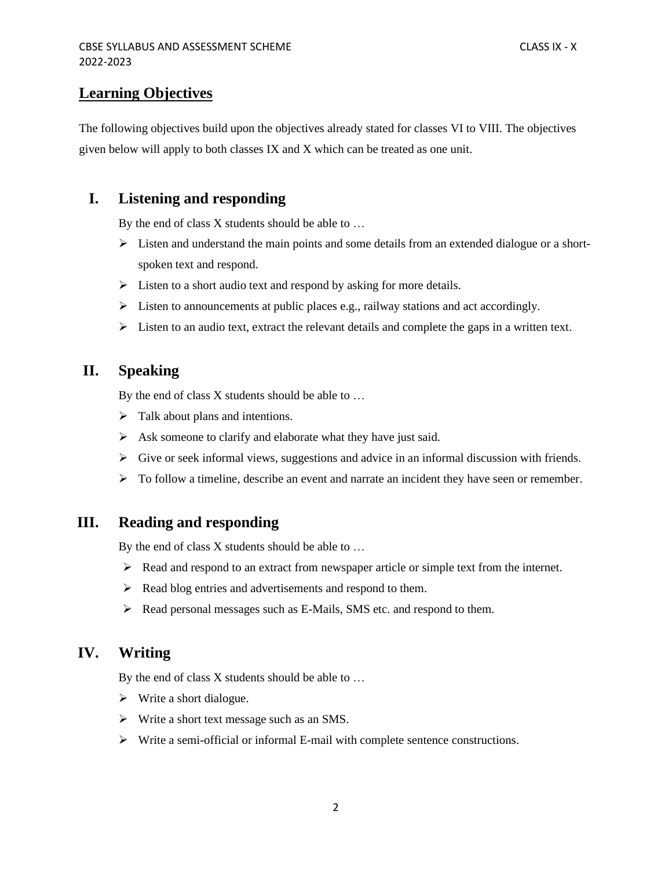### **Learning Objectives**

The following objectives build upon the objectives already stated for classes VI to VIII. The objectives given below will apply to both classes IX and X which can be treated as one unit.

### **I. Listening and responding**

By the end of class X students should be able to …

- $\triangleright$  Listen and understand the main points and some details from an extended dialogue or a shortspoken text and respond.
- ➢ Listen to a short audio text and respond by asking for more details.
- $\triangleright$  Listen to announcements at public places e.g., railway stations and act accordingly.
- $\triangleright$  Listen to an audio text, extract the relevant details and complete the gaps in a written text.

### **II. Speaking**

By the end of class X students should be able to …

- ➢ Talk about plans and intentions.
- $\triangleright$  Ask someone to clarify and elaborate what they have just said.
- ➢ Give or seek informal views, suggestions and advice in an informal discussion with friends.
- $\triangleright$  To follow a timeline, describe an event and narrate an incident they have seen or remember.

### **III. Reading and responding**

By the end of class X students should be able to …

- $\triangleright$  Read and respond to an extract from newspaper article or simple text from the internet.
- ➢ Read blog entries and advertisements and respond to them.
- ➢ Read personal messages such as E-Mails, SMS etc. and respond to them.

### **IV. Writing**

By the end of class X students should be able to …

- ➢ Write a short dialogue.
- ➢ Write a short text message such as an SMS.
- ➢ Write a semi-official or informal E-mail with complete sentence constructions.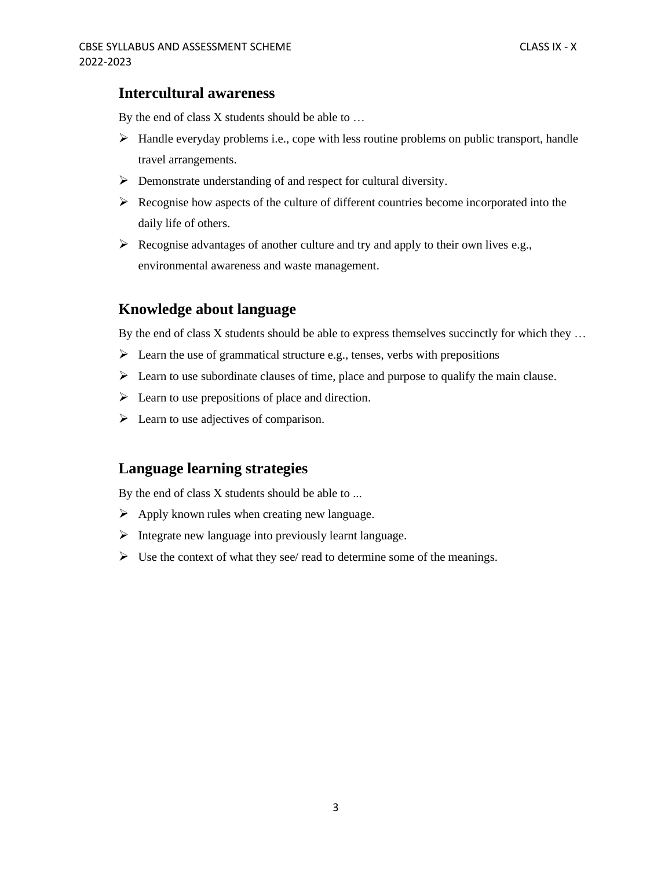### **Intercultural awareness**

By the end of class X students should be able to …

- $\triangleright$  Handle everyday problems i.e., cope with less routine problems on public transport, handle travel arrangements.
- ➢ Demonstrate understanding of and respect for cultural diversity.
- $\triangleright$  Recognise how aspects of the culture of different countries become incorporated into the daily life of others.
- $\triangleright$  Recognise advantages of another culture and try and apply to their own lives e.g., environmental awareness and waste management.

### **Knowledge about language**

By the end of class X students should be able to express themselves succinctly for which they ...

- $\triangleright$  Learn the use of grammatical structure e.g., tenses, verbs with prepositions
- $\triangleright$  Learn to use subordinate clauses of time, place and purpose to qualify the main clause.
- $\triangleright$  Learn to use prepositions of place and direction.
- $\triangleright$  Learn to use adjectives of comparison.

#### **Language learning strategies**

By the end of class X students should be able to ...

- $\triangleright$  Apply known rules when creating new language.
- ➢ Integrate new language into previously learnt language.
- $\triangleright$  Use the context of what they see/ read to determine some of the meanings.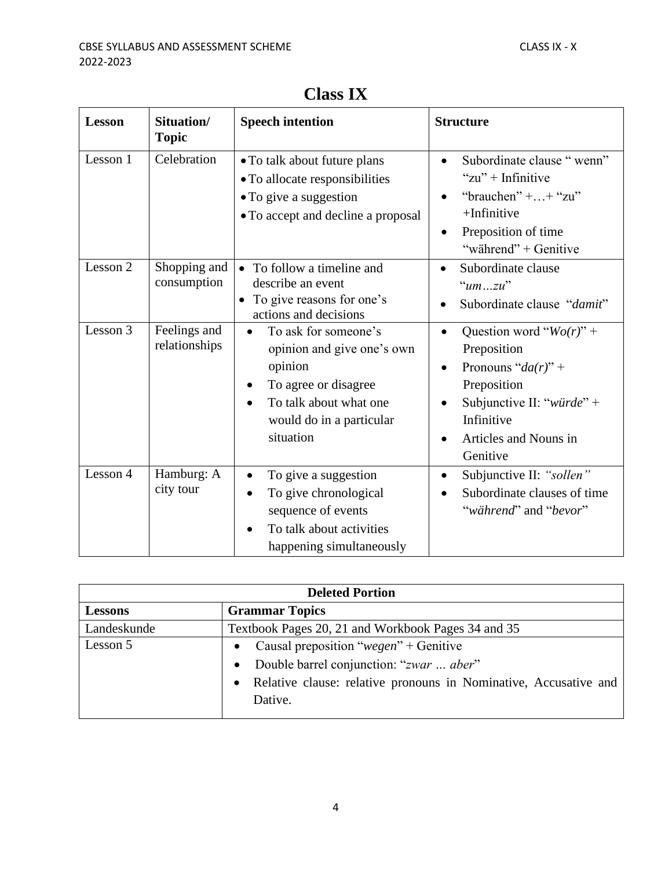| <b>Lesson</b> | Situation/<br><b>Topic</b>    | <b>Speech intention</b>                                                                                                                                                                         | <b>Structure</b>                                                                                                                                                                 |
|---------------|-------------------------------|-------------------------------------------------------------------------------------------------------------------------------------------------------------------------------------------------|----------------------------------------------------------------------------------------------------------------------------------------------------------------------------------|
| Lesson 1      | Celebration                   | • To talk about future plans<br>• To allocate responsibilities<br>• To give a suggestion<br>• To accept and decline a proposal                                                                  | Subordinate clause "wenn"<br>" $zu$ " + Infinitive<br>"brauchen" + + "zu"<br>$+$ Infinitive<br>Preposition of time<br>"während" + Genitive                                       |
| Lesson 2      | Shopping and<br>consumption   | To follow a timeline and<br>$\bullet$<br>describe an event<br>To give reasons for one's<br>$\bullet$<br>actions and decisions                                                                   | Subordinate clause<br>$\bullet$<br>" $umzu"$<br>Subordinate clause "damit"                                                                                                       |
| Lesson 3      | Feelings and<br>relationships | To ask for someone's<br>$\bullet$<br>opinion and give one's own<br>opinion<br>To agree or disagree<br>$\bullet$<br>To talk about what one<br>$\bullet$<br>would do in a particular<br>situation | Question word " $Wo(r)$ " +<br>$\bullet$<br>Preposition<br>Pronouns " $da(r)$ " +<br>Preposition<br>Subjunctive II: "würde" +<br>Infinitive<br>Articles and Nouns in<br>Genitive |
| Lesson 4      | Hamburg: A<br>city tour       | To give a suggestion<br>$\bullet$<br>To give chronological<br>$\bullet$<br>sequence of events<br>To talk about activities<br>happening simultaneously                                           | Subjunctive II: "sollen"<br>$\bullet$<br>Subordinate clauses of time<br>"während" and "bevor"                                                                                    |

## **Class IX**

| <b>Deleted Portion</b> |                                                                    |  |
|------------------------|--------------------------------------------------------------------|--|
| <b>Lessons</b>         | <b>Grammar Topics</b>                                              |  |
| Landeskunde            | Textbook Pages 20, 21 and Workbook Pages 34 and 35                 |  |
| Lesson 5               | • Causal preposition "wegen" + Genitive                            |  |
|                        | Double barrel conjunction: "zwar  aber"                            |  |
|                        | • Relative clause: relative pronouns in Nominative, Accusative and |  |
|                        | Dative.                                                            |  |
|                        |                                                                    |  |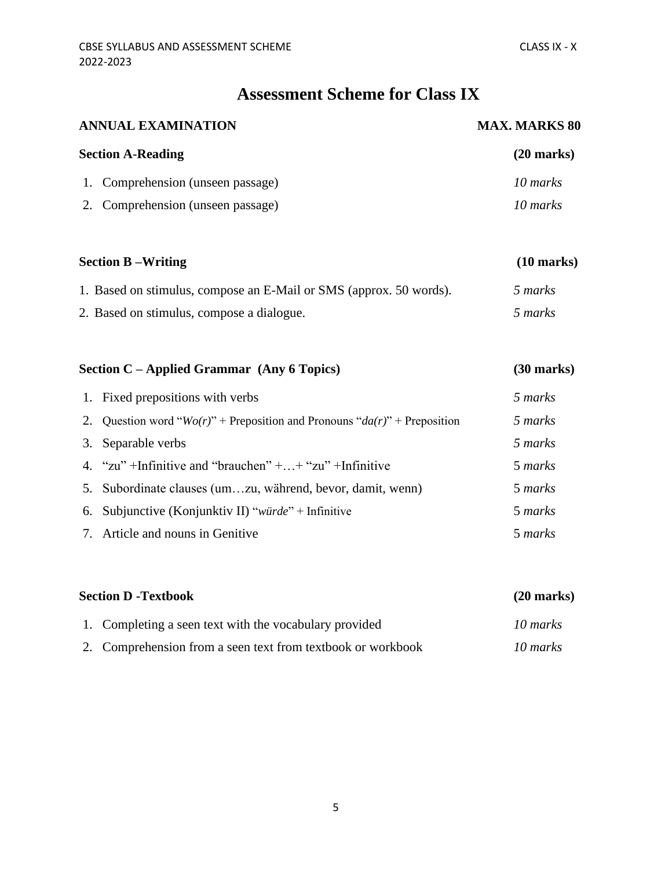## **Assessment Scheme for Class IX**

|    | <b>ANNUAL EXAMINATION</b>                                                      | <b>MAX. MARKS 80</b> |
|----|--------------------------------------------------------------------------------|----------------------|
|    | <b>Section A-Reading</b>                                                       | $(20$ marks)         |
|    | 1. Comprehension (unseen passage)                                              | 10 marks             |
|    | 2. Comprehension (unseen passage)                                              | 10 marks             |
|    | <b>Section B-Writing</b>                                                       | $(10 \text{ marks})$ |
|    | 1. Based on stimulus, compose an E-Mail or SMS (approx. 50 words).             | 5 marks              |
|    | 2. Based on stimulus, compose a dialogue.                                      | 5 marks              |
|    | Section C - Applied Grammar (Any 6 Topics)                                     | $(30$ marks)         |
|    | 1. Fixed prepositions with verbs                                               | 5 marks              |
| 2. | Question word " $Wo(r)$ " + Preposition and Pronouns " $da(r)$ " + Preposition | 5 marks              |
| 3. | Separable verbs                                                                | 5 marks              |
| 4. | "zu" +Infinitive and "brauchen" + + "zu" +Infinitive                           | 5 marks              |
| 5. | Subordinate clauses (umzu, während, bevor, damit, wenn)                        | 5 marks              |
| 6. | Subjunctive (Konjunktiv II) "würde" + Infinitive                               | 5 marks              |

| 7. Article and nouns in Genitive | 5 marks |
|----------------------------------|---------|
|----------------------------------|---------|

| <b>Section D -Textbook</b> |                                                             | $(20$ marks) |
|----------------------------|-------------------------------------------------------------|--------------|
|                            | 1. Completing a seen text with the vocabulary provided      | 10 marks     |
|                            | 2. Comprehension from a seen text from textbook or workbook | 10 marks     |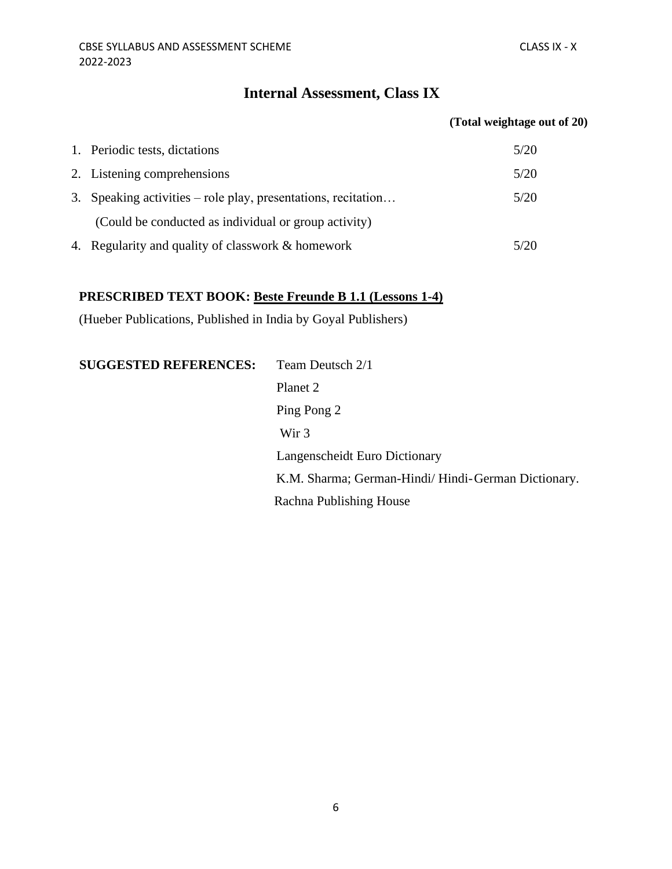### **Internal Assessment, Class IX**

#### **(Total weightage out of 20)**

| 1. Periodic tests, dictations                                 | 5/20 |
|---------------------------------------------------------------|------|
| 2. Listening comprehensions                                   | 5/20 |
| 3. Speaking activities – role play, presentations, recitation | 5/20 |
| (Could be conducted as individual or group activity)          |      |
| 4. Regularity and quality of classwork & homework             | 5/20 |

## **PRESCRIBED TEXT BOOK: Beste Freunde B 1.1 (Lessons 1-4)**

(Hueber Publications, Published in India by Goyal Publishers)

**SUGGESTED REFERENCES:** Team Deutsch 2/1 Planet 2 Ping Pong 2 Wir 3 Langenscheidt Euro Dictionary K.M. Sharma; German-Hindi/ Hindi-German Dictionary. Rachna Publishing House

6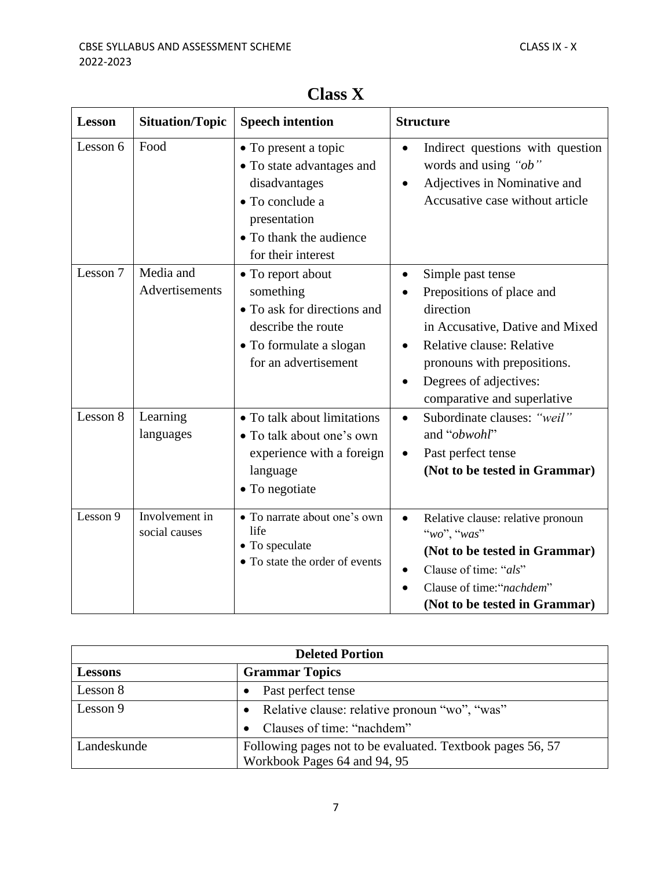| <b>Lesson</b> | <b>Situation/Topic</b>          | <b>Speech intention</b>                                                                                                                                | <b>Structure</b>                                                                                                                                                                                                                                           |  |
|---------------|---------------------------------|--------------------------------------------------------------------------------------------------------------------------------------------------------|------------------------------------------------------------------------------------------------------------------------------------------------------------------------------------------------------------------------------------------------------------|--|
| Lesson 6      | Food                            | • To present a topic<br>• To state advantages and<br>disadvantages<br>• To conclude a<br>presentation<br>• To thank the audience<br>for their interest | Indirect questions with question<br>$\bullet$<br>words and using "ob"<br>Adjectives in Nominative and<br>$\bullet$<br>Accusative case without article                                                                                                      |  |
| Lesson 7      | Media and<br>Advertisements     | • To report about<br>something<br>• To ask for directions and<br>describe the route<br>• To formulate a slogan<br>for an advertisement                 | Simple past tense<br>$\bullet$<br>Prepositions of place and<br>direction<br>in Accusative, Dative and Mixed<br>Relative clause: Relative<br>$\bullet$<br>pronouns with prepositions.<br>Degrees of adjectives:<br>$\bullet$<br>comparative and superlative |  |
| Lesson 8      | Learning<br>languages           | • To talk about limitations<br>• To talk about one's own<br>experience with a foreign<br>language<br>• To negotiate                                    | Subordinate clauses: "weil"<br>$\bullet$<br>and "obwohl"<br>Past perfect tense<br>$\bullet$<br>(Not to be tested in Grammar)                                                                                                                               |  |
| Lesson 9      | Involvement in<br>social causes | • To narrate about one's own<br>life<br>• To speculate<br>• To state the order of events                                                               | Relative clause: relative pronoun<br>$\bullet$<br>"wo", "was"<br>(Not to be tested in Grammar)<br>Clause of time: "als"<br>Clause of time:"nachdem"<br>(Not to be tested in Grammar)                                                                       |  |

## **Class X**

| <b>Deleted Portion</b>                  |                                                                                            |  |
|-----------------------------------------|--------------------------------------------------------------------------------------------|--|
| <b>Grammar Topics</b><br><b>Lessons</b> |                                                                                            |  |
| Lesson 8                                | Past perfect tense                                                                         |  |
| Lesson 9                                | Relative clause: relative pronoun "wo", "was"                                              |  |
|                                         | Clauses of time: "nachdem"                                                                 |  |
| Landeskunde                             | Following pages not to be evaluated. Textbook pages 56, 57<br>Workbook Pages 64 and 94, 95 |  |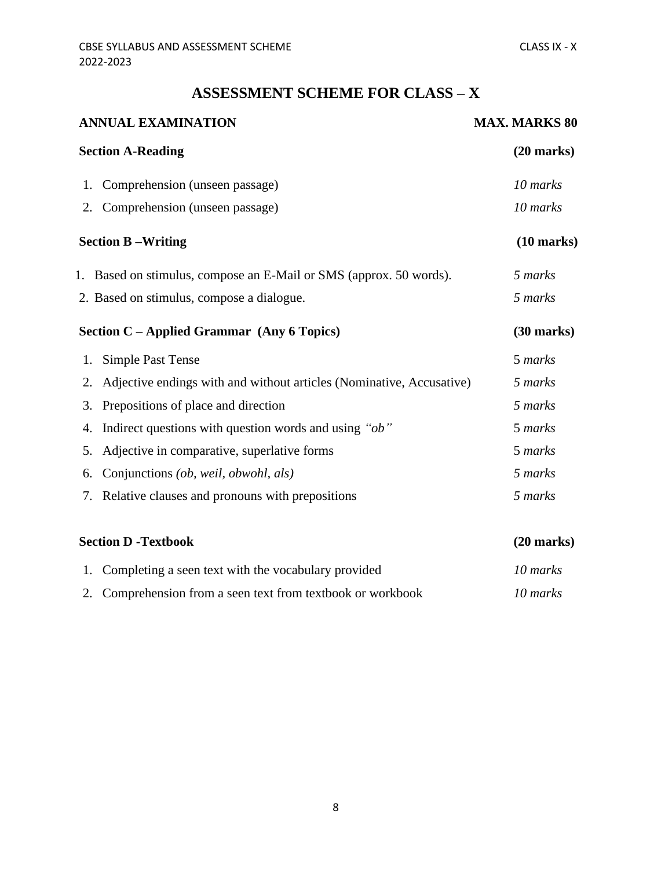## **ASSESSMENT SCHEME FOR CLASS – X**

| <b>ANNUAL EXAMINATION</b> |                                                                      | <b>MAX. MARKS 80</b> |  |
|---------------------------|----------------------------------------------------------------------|----------------------|--|
|                           | <b>Section A-Reading</b>                                             | $(20$ marks)         |  |
| 1.                        | Comprehension (unseen passage)                                       | 10 marks             |  |
| 2.                        | Comprehension (unseen passage)                                       | 10 marks             |  |
|                           | <b>Section B-Writing</b>                                             | $(10 \text{ marks})$ |  |
|                           | 1. Based on stimulus, compose an E-Mail or SMS (approx. 50 words).   | 5 marks              |  |
|                           | 2. Based on stimulus, compose a dialogue.                            | 5 marks              |  |
|                           | Section C - Applied Grammar (Any 6 Topics)                           | $(30 \text{ marks})$ |  |
| 1.                        | <b>Simple Past Tense</b>                                             | 5 marks              |  |
| 2.                        | Adjective endings with and without articles (Nominative, Accusative) | 5 marks              |  |
| 3.                        | Prepositions of place and direction                                  | 5 marks              |  |
| 4.                        | Indirect questions with question words and using "ob"                | 5 marks              |  |
| 5.                        | Adjective in comparative, superlative forms                          | 5 marks              |  |
| 6.                        | Conjunctions <i>(ob, weil, obwohl, als)</i>                          | 5 marks              |  |
| 7.                        | Relative clauses and pronouns with prepositions                      | 5 marks              |  |
|                           | <b>Section D - Textbook</b>                                          | $(20$ marks)         |  |

| 1. Completing a seen text with the vocabulary provided      | 10 marks |
|-------------------------------------------------------------|----------|
| 2. Comprehension from a seen text from textbook or workbook | 10 marks |